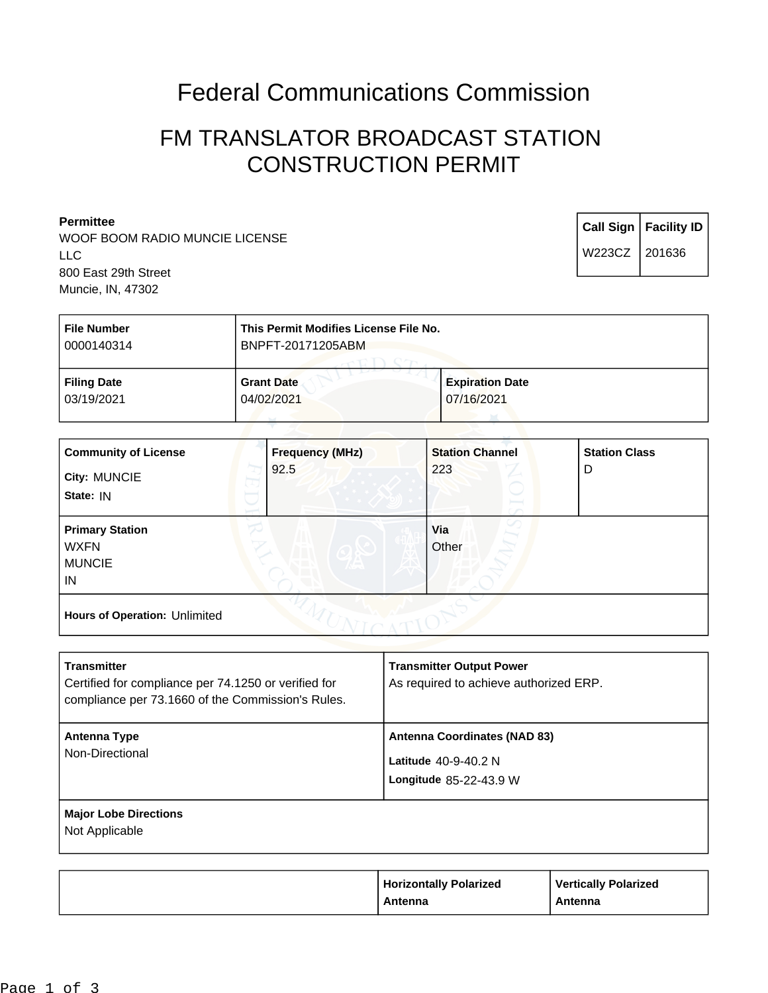## Federal Communications Commission

## FM TRANSLATOR BROADCAST STATION CONSTRUCTION PERMIT

| <b>Permittee</b> |                                                                |                                                            |  |        | Call Sign   Facility ID |
|------------------|----------------------------------------------------------------|------------------------------------------------------------|--|--------|-------------------------|
|                  | WOOF BOOM RADIO MUNCIE LICENSE<br>LLC.<br>800 East 29th Street |                                                            |  | W223CZ | 201636                  |
|                  | Muncie, IN, 47302                                              |                                                            |  |        |                         |
|                  | <b>File Number</b><br>0000110211                               | This Permit Modifies License File No.<br>DNDET 0047400EADM |  |        |                         |

| 0000140314                       | BNPF1-20171205ABM               |                                      |  |
|----------------------------------|---------------------------------|--------------------------------------|--|
| <b>Filing Date</b><br>03/19/2021 | <b>Grant Date</b><br>04/02/2021 | <b>Expiration Date</b><br>07/16/2021 |  |
|                                  |                                 |                                      |  |

| <b>Community of License</b><br>City: MUNCIE<br>State: IN     | <b>Frequency (MHz)</b><br>92.5 | <b>Station Channel</b><br>223 | <b>Station Class</b><br>D |
|--------------------------------------------------------------|--------------------------------|-------------------------------|---------------------------|
| <b>Primary Station</b><br><b>WXFN</b><br><b>MUNCIE</b><br>IN |                                | Via<br>Other                  |                           |
| Hours of Operation: Unlimited                                |                                |                               |                           |

| <b>Transmitter</b><br>Certified for compliance per 74.1250 or verified for<br>compliance per 73.1660 of the Commission's Rules. | <b>Transmitter Output Power</b><br>As required to achieve authorized ERP.               |
|---------------------------------------------------------------------------------------------------------------------------------|-----------------------------------------------------------------------------------------|
| Antenna Type<br>Non-Directional                                                                                                 | <b>Antenna Coordinates (NAD 83)</b><br>Latitude $40-9-40.2$ N<br>Longitude 85-22-43.9 W |
| <b>Major Lobe Directions</b><br>Not Applicable                                                                                  |                                                                                         |

| <b>Horizontally Polarized</b> | <b>Vertically Polarized</b> |
|-------------------------------|-----------------------------|
| Antenna                       | Antenna                     |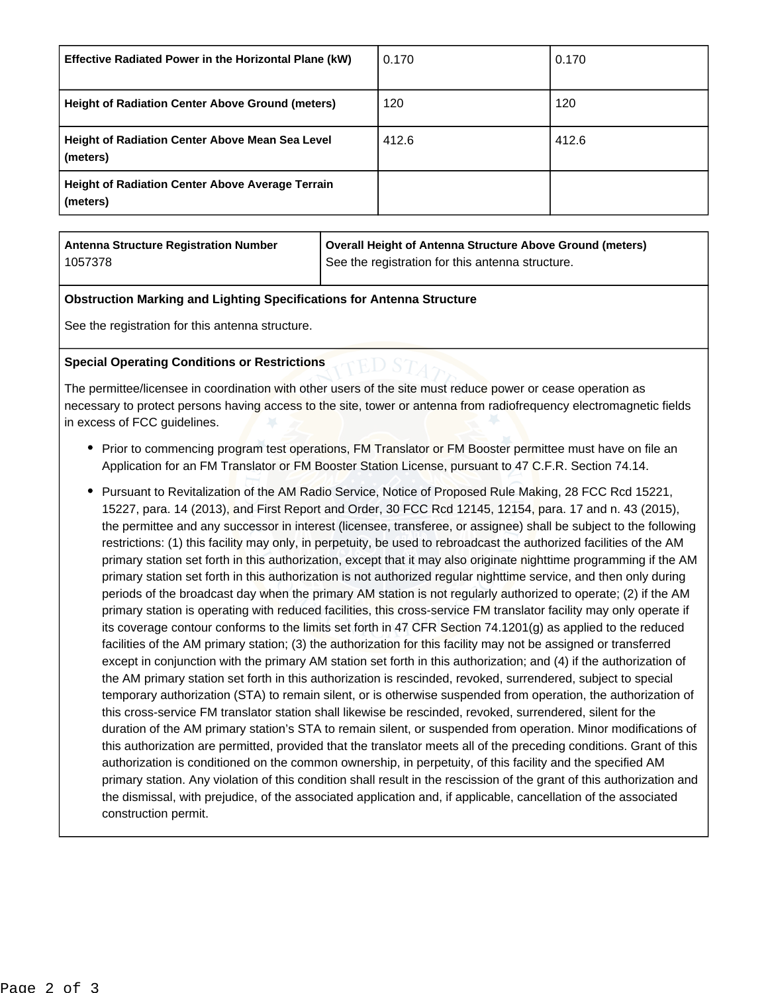| <b>Effective Radiated Power in the Horizontal Plane (kW)</b>        | 0.170 | 0.170 |
|---------------------------------------------------------------------|-------|-------|
| <b>Height of Radiation Center Above Ground (meters)</b>             | 120   | 120   |
| <b>Height of Radiation Center Above Mean Sea Level</b><br>(meters)  | 412.6 | 412.6 |
| <b>Height of Radiation Center Above Average Terrain</b><br>(meters) |       |       |

| Antenna Structure Registration Number | Overall Height of Antenna Structure Above Ground (meters) |
|---------------------------------------|-----------------------------------------------------------|
| 1057378                               | See the registration for this antenna structure.          |

## **Obstruction Marking and Lighting Specifications for Antenna Structure**

See the registration for this antenna structure.

## **Special Operating Conditions or Restrictions**

The permittee/licensee in coordination with other users of the site must reduce power or cease operation as necessary to protect persons having access to the site, tower or antenna from radiofrequency electromagnetic fields in excess of FCC guidelines.

- Prior to commencing program test operations, FM Translator or FM Booster permittee must have on file an Application for an FM Translator or FM Booster Station License, pursuant to 47 C.F.R. Section 74.14.
- Pursuant to Revitalization of the AM Radio Service, Notice of Proposed Rule Making, 28 FCC Rcd 15221, 15227, para. 14 (2013), and First Report and Order, 30 FCC Rcd 12145, 12154, para. 17 and n. 43 (2015), the permittee and any successor in interest (licensee, transferee, or assignee) shall be subject to the following restrictions: (1) this facility may only, in perpetuity, be used to rebroadcast the authorized facilities of the AM primary station set forth in this authorization, except that it may also originate nighttime programming if the AM primary station set forth in this authorization is not authorized regular nighttime service, and then only during periods of the broadcast day when the primary AM station is not regularly authorized to operate; (2) if the AM primary station is operating with reduced facilities, this cross-service FM translator facility may only operate if its coverage contour conforms to the limits set forth in 47 CFR Section 74.1201(g) as applied to the reduced facilities of the AM primary station; (3) the authorization for this facility may not be assigned or transferred except in conjunction with the primary AM station set forth in this authorization; and (4) if the authorization of the AM primary station set forth in this authorization is rescinded, revoked, surrendered, subject to special temporary authorization (STA) to remain silent, or is otherwise suspended from operation, the authorization of this cross-service FM translator station shall likewise be rescinded, revoked, surrendered, silent for the duration of the AM primary station's STA to remain silent, or suspended from operation. Minor modifications of this authorization are permitted, provided that the translator meets all of the preceding conditions. Grant of this authorization is conditioned on the common ownership, in perpetuity, of this facility and the specified AM primary station. Any violation of this condition shall result in the rescission of the grant of this authorization and the dismissal, with prejudice, of the associated application and, if applicable, cancellation of the associated construction permit.